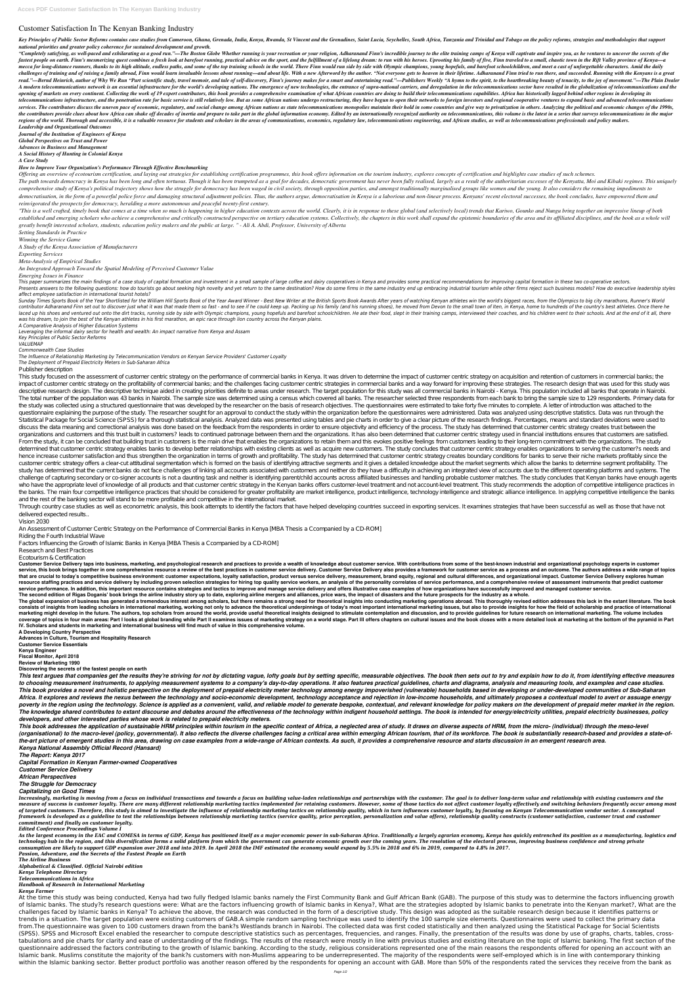## **Customer Satisfaction In The Kenyan Banking Industry**

Key Principles of Public Sector Reforms contains case studies from Cameroon, Ghana, Grenada, India, Kenya, Rwanda, St Vincent and the Grenadines, Saint Lucia, Seychelles, South Africa, Tanzania and Trinidad and Tobago on t *national priorities and greater policy coherence for sustained development and growth.*

"Completely satisfying, as well-paced and exhilarating as a good run."—The Boston Globe Whether running is your recreation or your religion, Adharanand Finn's incredible journey to the elite training camps of Kenya will ca fastest people on earth. Finn's mesmerizing quest combines a fresh look at barefoot running, practical advice on the sport, and the fulfillment of a lifelong dream: to run with his heroes. Uprooting his family of five, Fin mecca for long-distance runners, thanks to its high altitude, endless paths, and some of the top training schools in the world. There Finn would run side by side with Olympic champions, young hopefuls, and barefoot schoolc challenges of training and of raising a family abroad, Finn would learn invaluable lessons about running—and about life. With a new Afterword by the author. "Not everyone gets to heaven in their lifetime. Adharanand Finn t read."—Bernd Heinrich, author of Why We Run "Part scientific study, travel memoir, and tale of self-discovery, Finn's journey makes for a smart and entertaining read."—Publishers Weekly "A hymn to the spirit, to the heartb A modern telecommunications network is an essential infrastructure for the world's developing nations. The emergence of new technologies, the entrance of supra-national carriers, and deregulation in the telecommunications opening of markets on every continent. Collecting the work of 19 expert contributors, this book provides a comprehensive examination of what African countries are doing to build their telecommunications capabilities. Afric telecommunications infrastructure, and the penetration rate for basic service is still relatively low. But as some African nations undergo restructuring, they have begun to open their networks to foreign investors and regi services. The contributors discuss the uneven pace of economic, regulatory, and social change among African nations as state telecommunications monopolies maintain their hold in some countries and give way to privatization the contributors provide clues about how Africa can shake off decades of inertia and prepare to take part in the global information economy. Edited by an internationally recognized authority on telecommunications, this vol regions of the world. Thorough and accessible, it is a valuable resource for students and scholars in the areas of communications, economics, regulatory law, telecommunications engineering, and African studies, as well as *Leadership and Organizational Outcomes*

Offering an overview of ecotourism certification, and laying out strategies for establishing certification programmes, this book offers information on the tourism industry, explores concepts of certification and highlights The path towards democracy in Kenya has been long and often tortuous. Though it has been trumpeted as a goal for decades, democratic government has never been fully realised, largely as a result of the authoritarian excess comprehensive study of Kenya's political trajectory shows how the struggle for democracy has been waged in civil society, through opposition parties, and amongst traditionally marginalised groups like women and the young. democratisation, in the form of a powerful police force and damaging structural adjustment policies. Thus, the authors argue, democratisation in Kenya is a laborious and non-linear process. Kenyans' recent electoral succes *reinvigorated the prospects for democracy, heralding a more autonomous and peaceful twenty-first century.*

"This is a well crafted, timely book that comes at a time when so much is happening in higher education contexts across the world. Clearly, it is in response to these global (and selectively local) trends that Kariwo, Goun established and emerging scholars who achieve a comprehensive and critically constructed perspective on tertiary education systems. Collectively, the chapters in this work shall expand the epistemic boundaries of the area *greatly benefit interested scholars, students, education policy makers and the public at large. " - Ali A. Abdi, Professor, University of Alberta*

This paper summarizes the main findings of a case study of capital formation and investment in a small sample of large coffee and dairy cooperatives in Kenya and provides some practical recommendations for improving capita Presents answers to the following questions: how do tourists go about seeking high novelty and yet return to the same destination? How do some firms in the same industry end up embracing industrial tourism while other firm *affect employee satisfaction in international tourist hotels?*

*Journal of the Institution of Engineers of Kenya Global Perspectives on Trust and Power Advances in Business and Management A Social History of Hunting in Colonial Kenya A Case Study*

Sunday Times Sports Book of the Year Shortlisted for the William Hill Sports Book of the Year Award Winner - Best New Writer at the British Sports Book Awards After years of watching Kenyan athletes win the world's biggest contributor Adharanand Finn set out to discover just what it was that made them so fast - and to see if he could keep up. Packing up his family (and his running shoes), he moved from Devon to the small town of Iten, in Ken laced up his shoes and ventured out onto the dirt tracks, running side by side with Olympic champions, young hopefuls and barefoot schoolchildren. He ate their food, slept in their training camps, interviewed their coaches *was his dream, to join the best of the Kenyan athletes in his first marathon, an epic race through lion country across the Kenyan plains.*

*How to Improve Your Organization's Performance Through Effective Benchmarking*

*Setting Standards in Practice*

*Winning the Service Game*

*A Study of the Kenya Association of Manufacturers*

*Exporting Services*

*Meta-Analysis of Empirical Studies*

*An Integrated Approach Toward the Spatial Modeling of Perceived Customer Value*

*Emerging Issues in Finance*

This study focused on the assessment of customer centric strategy on the performance of commercial banks in Kenya. It was driven to determine the impact of customer centric strategy on acquisition and retention of customer impact of customer centric strategy on the profitability of commercial banks; and the challenges facing customer centric strategies in commercial banks and a way forward for improving these strategies. The research design descriptive research design. The descriptive technique aided in creating priorities definite to areas under research. The target population for this study was all commercial banks in Nairobi - Kenya. This population includ The total number of the population was 43 banks in Nairobi. The sample size was determined using a census which covered all banks. The researcher selected three respondents from each bank to bring the sample size to 129 re the study was collected using a structured questionnaire that was developed by the researcher on the basis of research objectives. The questionnaires were estimated to take forty five minutes to complete. A letter of intro questionnaire explaining the purpose of the study. The researcher sought for an approval to conduct the study within the organization before the questionnaires were administered. Data was analyzed using descriptive statist Statistical Package for Social Science (SPSS) for a thorough statistical analysis. Analyzed data was presented using tables and pie charts in order to give a clear picture of the research findings. Percentages, means and s discuss the data meaning and correctional analysis was done based on the feedback from the respondents in order to ensure objectivity and efficiency of the process. The study has determined that customer centric strategy c organizations and customers and this trust built in customers? leads to continued patronage between them and the organizations. It has also been determined that customer centric strategy used in financial institutions ensu From the study, it can be concluded that building trust in customers is the main drive that enables the organizations to retain them and this evokes positive feelings from customers leading to their long-term commitment wi determined that customer centric strategy enables banks to develop better relationships with existing clients as well as acquire new customers. The study concludes that customer centric strategy enables organizations to se hence increase customer satisfaction and thus strengthen the organization in terms of growth and profitability. The study has determined that customer centric strategy creates boundary conditions for banks to serve their n customer centric strategy offers a clear-cut attitudinal segmentation which is formed on the basis of identifying attractive segments and it gives a detailed knowledge about the market segments which allow the banks to det study has determined that the current banks do not face challenges of linking all accounts associated with customers and neither do they have a difficulty in achieving an integrated view of accounts due to the different op challenge of capturing secondary or co-signer accounts is not a daunting task and neither is identifying parent/child accounts across affiliated businesses and handling probable customer matches. The study concludes that K who have the appropriate level of knowledge of all products and that customer centric strategy in the Kenyan banks offers customer-level treatment and not account-level treatment. This study recommends the adoption of comp the banks. The main four competitive intelligence practices that should be considered for greater profitability are market intelligence, product intelligence, technology intelligence and strategic alliance intelligence. In and the rest of the banking sector will stand to be more profitable and competitive in the international market.

Through country case studies as well as econometric analysis, this book attempts to identify the factors that have helped developing countries succeed in exporting services. It examines strategies that have been successful delivered expected results.

*A Comparative Analysis of Higher Education Systems*

*Leveraging the informal dairy sector for health and wealth: An impact narrative from Kenya and Assam*

*Key Principles of Public Sector Reforms*

*VALUEMAP*

*Commonwealth Case Studies*

The global expansion of business has generated a tremendous interest among scholars, but there remains a strong need for theoretical insights into conducting marketing operations abroad. This thoroughly revised edition add consists of insights from leading scholars in international marketing, working not only to advance the theoretical underpinnings of today's most important international marketing issues, but also to provide insights for ho marketing might develop in the future. The authors, top scholars from around the world, provide useful theoretical insights designed to stimulate contemplation and discussion, and to provide guidelines for future research coverage of topics in four main areas: Part I looks at global branding while Part II examines issues of marketing strategy on a world stage. Part III offers chapters on cultural issues and the book closes with a more detai **IV. Scholars and students in marketing and international business will find much of value in this comprehensive volume.**

*The Influence of Relationship Marketing by Telecommunication Vendors on Kenyan Service Providers' Customer Loyalty*

*The Deployment of Prepaid Electricity Meters in Sub-Saharan Africa*

Publisher description

This text arques that companies get the results they're striving for not by dictating vaque, lofty goals but by setting specific, measurable objectives. The book then sets out to try and explain how to do it, from identify to choosing measurement instruments, to applying measurement systems to a company's day-to-day operations. It also features practical guidelines, charts and diagrams, analysis and measuring tools, and examples and case stu This book provides a novel and holistic perspective on the deployment of prepaid electricity meter technology among energy impoverished (vulnerable) households based in developing or under-developed communities of Sub-Saha Africa. It explores and reviews the nexus between the technology and socio-economic development, technology acceptance and rejection in low-income households, and ultimately proposes a contextual model to avert or assuage poverty in the region using the technology. Science is applied as a convenient, valid, and reliable model to generate bespoke, contextual, and relevant knowledge for policy makers on the development of prepaid meter market The knowledge shared contributes to extant discourse and debates around the effectiveness of the technology within indigent household settings. The book is intended for energy/electricity utilities, prepaid electricity bus *developers, and other interested parties whose work is related to prepaid electricity meters.*

This book addresses the application of sustainable HRM principles within tourism in the specific context of Africa, a neglected area of study. It draws on diverse aspects of HRM, from the micro- (individual) through the me (organisational) to the macro-level (policy, governmental). It also reflects the diverse challenges facing a critical area within emerging African tourism, that of its workforce. The book is substantially research-based an *the-art picture of emergent studies in this area, drawing on case examples from a wide-range of African contexts. As such, it provides a comprehensive resource and starts discussion in an emergent research area.*

Increasingly, marketing is moving from a focus on individual transactions and towards a focus on building value-laden relationships and partnerships with the customer. The goal is to deliver long-term value and relationshi measure of success is customer loyalty. There are many different relationship marketing tactics implemented for retaining customers. However, some of those tactics do not affect customer loyalty effectively and switching b of targeted customers. Therefore, this study is aimed to investigate the influence of relationship marketing tactics on relationship quality, which in turn influences customer loyalty, by focusing on Kenyan Telecommunicati framework is developed as a guideline to test the relationships between relationship marketing tactics (service quality, price perception, personalization and value offers), relationship quality constructs (customer satisf *commitment) and finally on customer loyalty.*

As the largest economy in the EAC and COMESA in terms of GDP, Kenya has positioned itself as a major economic power in sub-Saharan Africa. Traditionally a largely agrarian economy, Kenya has quickly entrenched its position technology hub in the region, and this diversification forms a solid platform from which the government can generate economic growth over the coming years. The resolution of the electoral process, improving business confid *consumption are likely to support GDP expansion over 2018 and into 2019. In April 2018 the IMF estimated the economy would expand by 5.5% in 2018 and 6% in 2019, compared to 4.8% in 2017.*

Vision 2030

An Assessment of Customer Centric Strategy on the Performance of Commercial Banks in Kenya [MBA Thesis a Ccompanied by a CD-ROM]

Riding the Fourth Industrial Wave

Factors Influencing the Growth of Islamic Banks in Kenya [MBA Thesis a Ccompanied by a CD-ROM]

Research and Best Practices

Ecotourism & Certification

Customer Service Delivery taps into business, marketing, and psychological research and practices to provide a wealth of knowledge about customer service. With contributions from some of the best-known industrial and organ service, this book brings together in one comprehensive resource a review of the best practices in customer service delivery. Customer Service Delivery also provides a framework for customer service as a process and an out that are crucial to today's competitive business environment: customer expectations, loyalty satisfaction, product versus service delivery, measurement, brand equity, regional and cultural differences, and organizational i resource staffing practices and service delivery by including proven selection strategies for hiring top quality service workers, an analysis of the personality correlates of service performance, and a comprehensive review service performance. In addition, this important resource contains strategies and tactics to improve and manage service delivery and offers illustrative case examples of how organizations have successfully improved and man The second edition of Rigas Doganis' book brings the airline industry story up to date, exploring airline mergers and alliances, price wars, the impact of disasters and the future prospects for the industry as a whole.

**A Developing Country Perspective Advances in Culture, Tourism and Hospitality Research Customer Service Essentials Kenya Engineer Fiscal Monitor, April 2018 Review of Marketing 1990 Discovering the secrets of the fastest people on earth**

*Kenya National Assembly Official Record (Hansard)*

*The Report: Kenya 2017*

*Capital Formation in Kenyan Farmer-owned Cooperatives*

*Customer Service Delivery*

*African Perspectives*

*The Struggle for Democracy*

## *Capitalizing on Good Times*

## *Edited Conference Proceedings Volume I*

*Passion, Adventure, and the Secrets of the Fastest People on Earth*

*The Airline Business*

*Alphabetical & Classified. Official Nairobi edition*

*Kenya Telephone Directory*

*Telecommunications in Africa*

*Handbook of Research in International Marketing*

## *Kenya Farmer*

At the time this study was being conducted, Kenya had two fully fledged Islamic banks namely the First Community Bank and Gulf African Bank (GAB). The purpose of this study was to determine the factors influencing growth of Islamic banks. The study?s research questions were: What are the factors influencing growth of Islamic banks in Kenya?, What are the strategies adopted by Islamic banks to penetrate into the Kenyan market?, What are the challenges faced by Islamic banks in Kenya? To achieve the above, the research was conducted in the form of a descriptive study. This design was adopted as the suitable research design because it identifies patterns or trends in a situation. The target population were existing customers of GAB.A simple random sampling technique was used to identify the 100 sample size elements. Questionnaires were used to collect the primary data from.The questionnaire was given to 100 customers drawn from the bank?s Westlands branch in Nairobi. The collected data was first coded statistically and then analyzed using the Statistical Package for Social Scientists (SPSS). SPSS and Microsoft Excel enabled the researcher to compute descriptive statistics such as percentages, frequencies, and ranges. Finally, the presentation of the results was done by use of graphs, charts, tables, cr tabulations and pie charts for clarity and ease of understanding of the findings. The results of the research were mostly in line with previous studies and existing literature on the topic of Islamic banking. The first sec questionnaire addressed the factors contributing to the growth of Islamic banking. According to the study, religious considerations represented one of the main reasons the respondents offered for opening an account with an Islamic bank. Muslims constitute the majority of the bank?s customers with non-Muslims appearing to be underrepresented. The majority of the respondents were self-employed which is in line with contemporary thinking within the Islamic banking sector. Better product portfolio was another reason offered by the respondents for opening an account with GAB. More than 50% of the respondents rated the services they receive from the bank as